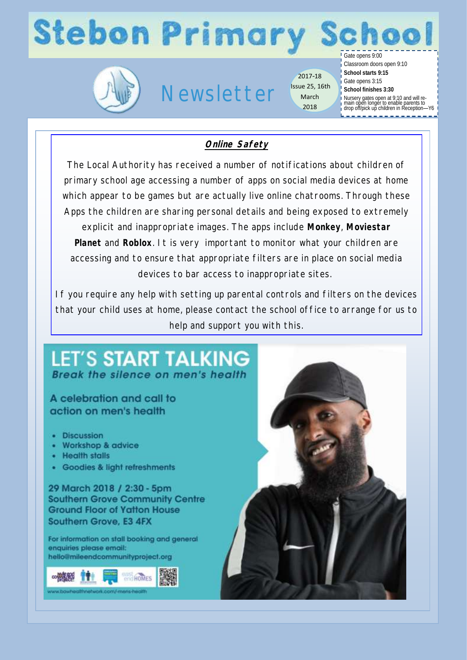# **Stebon Primary School**



## Newsletter

2017-18 Issue 25, 16th March 2018

Gate opens 9:00 Classroom doors open 9:10 **School starts 9:15** Gate opens 3:15 **School finishes 3:30**

Nursery gates open at 9:10 and will re-main open longer to enable parents to drop off/pick up children in Reception—Y6

## **Online Safety**

The Local Authority has received a number of notifications about children of primary school age accessing a number of apps on social media devices at home which appear to be games but are actually live online chatrooms. Through these Apps the children are sharing personal details and being exposed to extremely explicit and inappropriate images. The apps include **Monkey**, **Moviestar Planet** and **Roblox**. It is very important to monitor what your children are accessing and to ensure that appropriate filters are in place on social media devices to bar access to inappropriate sites.

If you require any help with setting up parental controls and filters on the devices that your child uses at home, please contact the school office to arrange for us to help and support you with this.

## **LET'S START TALKING** Break the silence on men's health

## A celebration and call to action on men's health

- · Discussion
- Workshop & advice
- Health stalls
- · Goodies & light refreshments

29 March 2018 / 2:30 - 5pm **Southern Grove Community Centre Ground Floor of Yatton House** Southern Grove, E3 4FX

For information on stall booking and general enquiries please email: helio@mileendcommunityproject.org